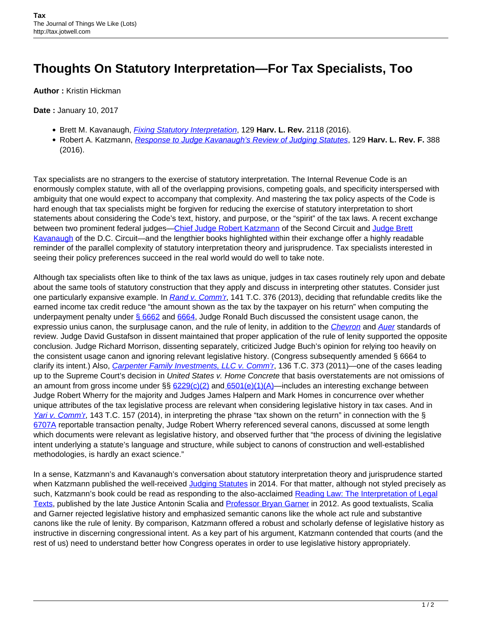## **Thoughts On Statutory Interpretation—For Tax Specialists, Too**

**Author :** Kristin Hickman

**Date :** January 10, 2017

- **Brett M. Kavanaugh,** *[Fixing Statutory Interpretation](http://harvardlawreview.org/2016/06/fixing-statutory-interpretation/)***, 129 Harv. L. Rev. 2118 (2016).**
- Robert A. Katzmann, [Response to Judge Kavanaugh's Review of Judging Statutes](http://harvardlawreview.org/2016/06/response-to-judge-kavanaughs-review-of-judging-statutes/), 129 **Harv. L. Rev. F.** 388 (2016).

Tax specialists are no strangers to the exercise of statutory interpretation. The Internal Revenue Code is an enormously complex statute, with all of the overlapping provisions, competing goals, and specificity interspersed with ambiguity that one would expect to accompany that complexity. And mastering the tax policy aspects of the Code is hard enough that tax specialists might be forgiven for reducing the exercise of statutory interpretation to short statements about considering the Code's text, history, and purpose, or the "spirit" of the tax laws. A recent exchange between two prominent federal judges[—Chief Judge Robert Katzmann](http://www.ca2.uscourts.gov/judges/bios/rak.html) of the Second Circuit and [Judge Brett](https://www.cadc.uscourts.gov/internet/home.nsf/Content/VL+-+Judges+-+BMK) [Kavanaugh](https://www.cadc.uscourts.gov/internet/home.nsf/Content/VL+-+Judges+-+BMK) of the D.C. Circuit—and the lengthier books highlighted within their exchange offer a highly readable reminder of the parallel complexity of statutory interpretation theory and jurisprudence. Tax specialists interested in seeing their policy preferences succeed in the real world would do well to take note.

Although tax specialists often like to think of the tax laws as unique, judges in tax cases routinely rely upon and debate about the same tools of statutory construction that they apply and discuss in interpreting other statutes. Consider just one particularly expansive example. In [Rand v. Comm'r](https://www.ustaxcourt.gov/InOpHistoric/RandDiv.Buch.TC.WPD.pdf), 141 T.C. 376 (2013), deciding that refundable credits like the earned income tax credit reduce "the amount shown as the tax by the taxpayer on his return" when computing the underpayment penalty under [§ 6662](https://www.gpo.gov/fdsys/pkg/USCODE-2011-title26/pdf/USCODE-2011-title26-subtitleF-chap68-subchapA-partII-sec6662.pdf) and [6664,](https://www.gpo.gov/fdsys/search/pagedetails.action?sr=2&originalSearch=&st=negligence+law%2C+legal+liability%2C+failure+to&ps=10&na=&se=&sb=re&timeFrame=&dateBrowse=&govAuthBrowse=&collection=USCODE&historical=true&granuleId=USCODE-1995-title26-chap68-subchapA-partII-sec6664&packageId=USCODE-1995-title26&fromState=&collectionCode=USCODE&browsePath=Title+26%2FChapter+68%2FSubchapter+A%2FPart+II%2FSec.+6664&collapse=true&fromBrowse=true) Judge Ronald Buch discussed the consistent usage canon, the expressio unius canon, the surplusage canon, and the rule of lenity, in addition to the [Chevron](https://www.oyez.org/cases/1983/82-1005) and [Auer](https://www.oyez.org/cases/1996/95-897) standards of review. Judge David Gustafson in dissent maintained that proper application of the rule of lenity supported the opposite conclusion. Judge Richard Morrison, dissenting separately, criticized Judge Buch's opinion for relying too heavily on the consistent usage canon and ignoring relevant legislative history. (Congress subsequently amended § 6664 to clarify its intent.) Also, [Carpenter Family Investments, LLC v. Comm'r](http://www.ustaxcourt.gov/InOpHistoric/carpenter.TC.WPD.pdf), 136 T.C. 373 (2011)—one of the cases leading up to the Supreme Court's decision in United States v. Home Concrete that basis overstatements are not omissions of an amount from gross income under §§ [6229\(c\)\(2\)](https://www.law.cornell.edu/uscode/text/26/6229) an[d 6501\(e\)\(1\)\(A\)](https://www.law.cornell.edu/cfr/text/26/301.6501(e)-1)—includes an interesting exchange between Judge Robert Wherry for the majority and Judges James Halpern and Mark Homes in concurrence over whether unique attributes of the tax legislative process are relevant when considering legislative history in tax cases. And in [Yari v. Comm'r](https://www.ustaxcourt.gov/InOpHistoric/YariDiv.Wherry.TC.WPD.pdf), 143 T.C. 157 (2014), in interpreting the phrase "tax shown on the return" in connection with the § [6707A](https://www.law.cornell.edu/uscode/text/26/6707A) reportable transaction penalty, Judge Robert Wherry referenced several canons, discussed at some length which documents were relevant as legislative history, and observed further that "the process of divining the legislative intent underlying a statute's language and structure, while subject to canons of construction and well-established methodologies, is hardly an exact science."

In a sense, Katzmann's and Kavanaugh's conversation about statutory interpretation theory and jurisprudence started when Katzmann published the well-received [Judging Statutes](https://www.amazon.com/Judging-Statutes-Katzmann-Robert-Hardcover/dp/B010WHPVU4/ref=sr_1_2?s=books&ie=UTF8&qid=1472072737&sr=1-2&keywords=katzmann+judging+statutes) in 2014. For that matter, although not styled precisely as such, Katzmann's book could be read as responding to the also-acclaimed [Reading Law: The Interpretation of Legal](https://www.amazon.com/Reading-Law-Interpretation-Legal-Texts/dp/031427555X/ref=sr_1_1?s=books&ie=UTF8&qid=1472072813&sr=1-1&keywords=scalia+garner+reading+law) [Texts,](https://www.amazon.com/Reading-Law-Interpretation-Legal-Texts/dp/031427555X/ref=sr_1_1?s=books&ie=UTF8&qid=1472072813&sr=1-1&keywords=scalia+garner+reading+law) published by the late Justice Antonin Scalia and [Professor Bryan Garner](http://www.law.smu.edu/professor-profiles/garner) in 2012. As good textualists, Scalia and Garner rejected legislative history and emphasized semantic canons like the whole act rule and substantive canons like the rule of lenity. By comparison, Katzmann offered a robust and scholarly defense of legislative history as instructive in discerning congressional intent. As a key part of his argument, Katzmann contended that courts (and the rest of us) need to understand better how Congress operates in order to use legislative history appropriately.